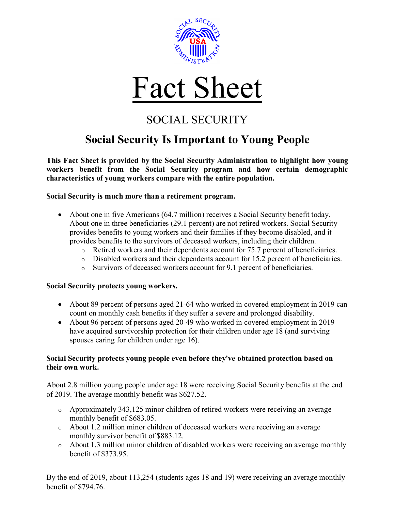



## SOCIAL SECURITY

## **Social Security Is Important to Young People**

**This Fact Sheet is provided by the Social Security Administration to highlight how young workers benefit from the Social Security program and how certain demographic characteristics of young workers compare with the entire population.**

**Social Security is much more than a retirement program.**

- About one in five Americans (64.7 million) receives a Social Security benefit today. About one in three beneficiaries (29.1 percent) are not retired workers. Social Security provides benefits to young workers and their families if they become disabled, and it provides benefits to the survivors of deceased workers, including their children.
	- $\circ$  Retired workers and their dependents account for 75.7 percent of beneficiaries.
	- $\circ$  Disabled workers and their dependents account for 15.2 percent of beneficiaries.
	- o Survivors of deceased workers account for 9.1 percent of beneficiaries.

## **Social Security protects young workers.**

- About 89 percent of persons aged 21-64 who worked in covered employment in 2019 can count on monthly cash benefits if they suffer a severe and prolonged disability.
- About 96 percent of persons aged 20-49 who worked in covered employment in 2019 have acquired survivorship protection for their children under age 18 (and surviving spouses caring for children under age 16).

## **Social Security protects young people even before they've obtained protection based on their own work.**

About 2.8 million young people under age 18 were receiving Social Security benefits at the end of 2019. The average monthly benefit was \$627.52.

- o Approximately 343,125 minor children of retired workers were receiving an average monthly benefit of \$683.05.
- o About 1.2 million minor children of deceased workers were receiving an average monthly survivor benefit of \$883.12.
- o About 1.3 million minor children of disabled workers were receiving an average monthly benefit of \$373.95.

By the end of 2019, about 113,254 (students ages 18 and 19) were receiving an average monthly benefit of \$794.76.